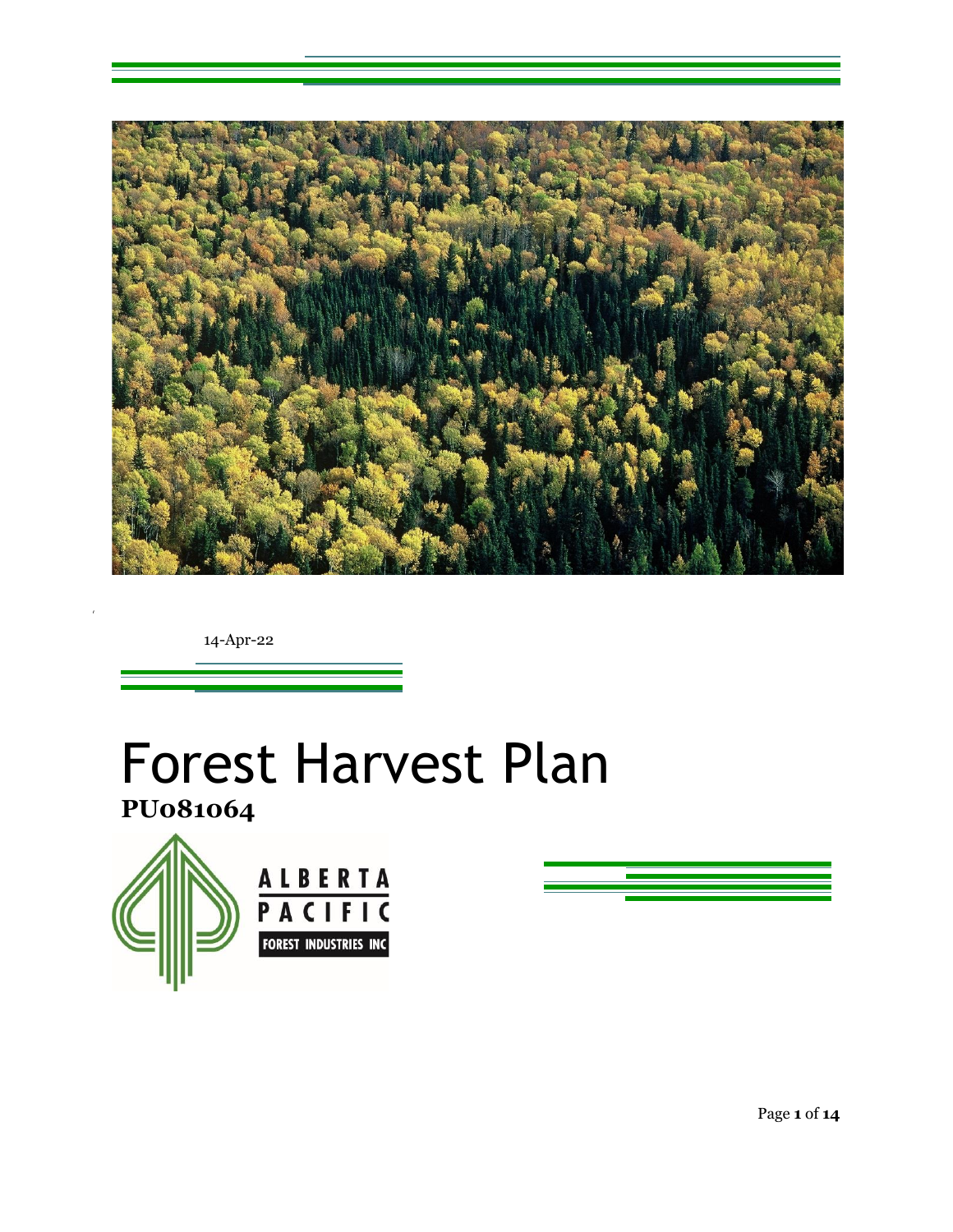

14-Apr-22

# Forest Harvest Plan

**PU081064**





Page **1** of **14**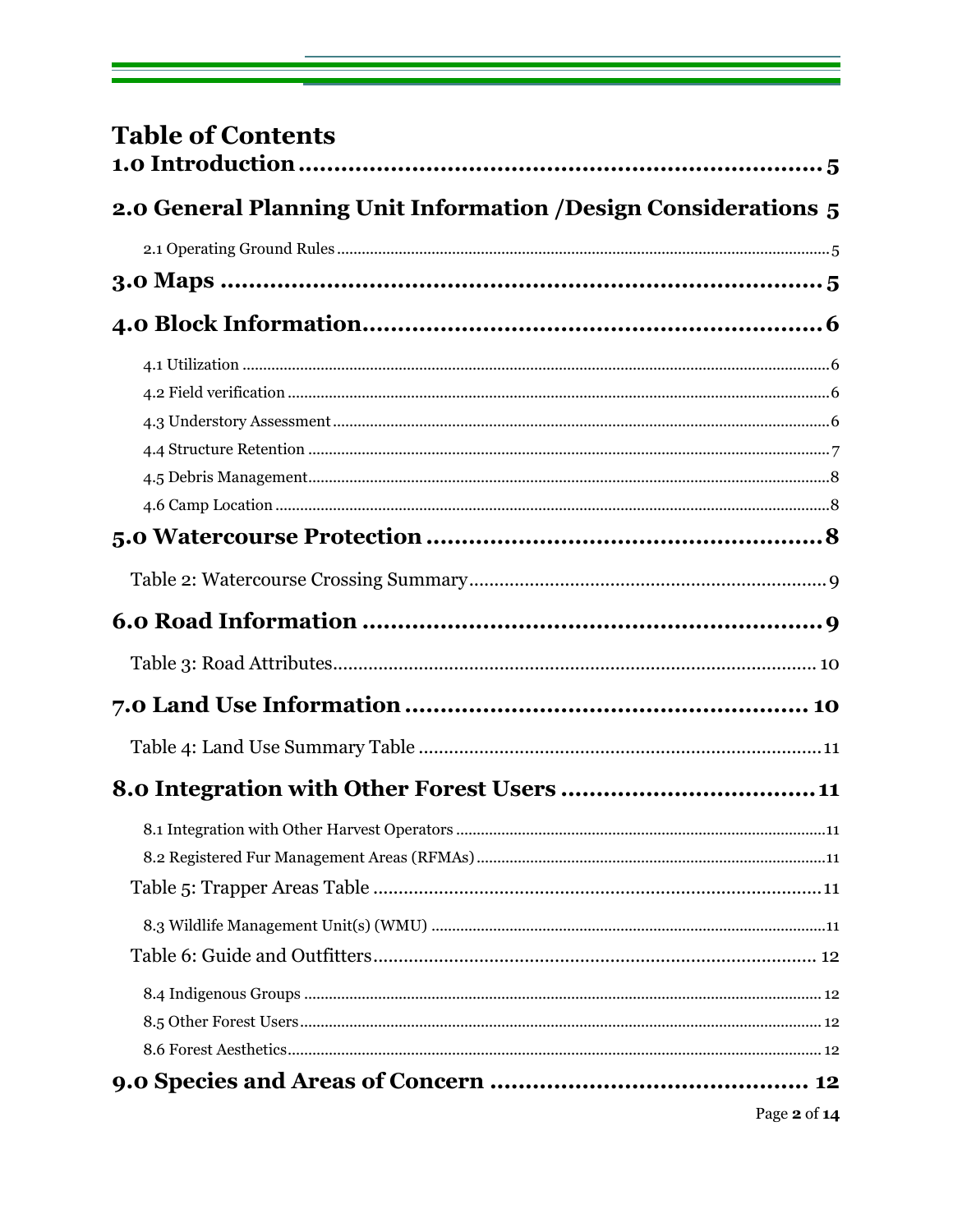| <b>Table of Contents</b>                                        |              |
|-----------------------------------------------------------------|--------------|
| 2.0 General Planning Unit Information / Design Considerations 5 |              |
|                                                                 |              |
|                                                                 |              |
|                                                                 |              |
|                                                                 |              |
|                                                                 |              |
|                                                                 |              |
|                                                                 |              |
|                                                                 |              |
|                                                                 |              |
|                                                                 |              |
|                                                                 |              |
|                                                                 |              |
|                                                                 |              |
|                                                                 |              |
|                                                                 |              |
|                                                                 |              |
|                                                                 |              |
|                                                                 |              |
|                                                                 |              |
|                                                                 |              |
|                                                                 |              |
|                                                                 |              |
|                                                                 |              |
|                                                                 |              |
|                                                                 |              |
|                                                                 | Page 2 of 14 |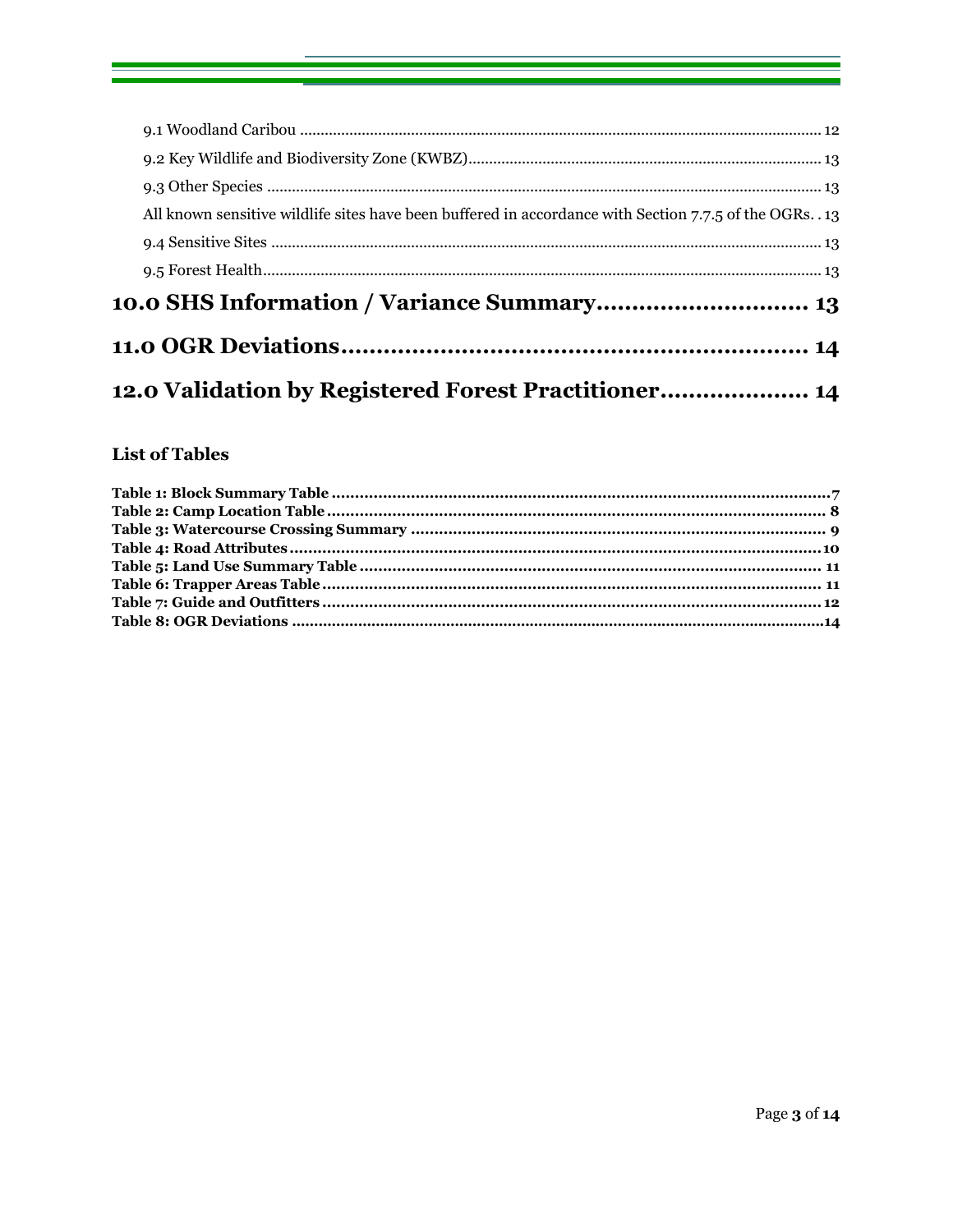| 12.0 Validation by Registered Forest Practitioner                                                      |  |
|--------------------------------------------------------------------------------------------------------|--|
|                                                                                                        |  |
|                                                                                                        |  |
|                                                                                                        |  |
|                                                                                                        |  |
| All known sensitive wildlife sites have been buffered in accordance with Section 7.7.5 of the OGRs. 13 |  |
|                                                                                                        |  |
|                                                                                                        |  |
|                                                                                                        |  |
|                                                                                                        |  |

## **List of Tables**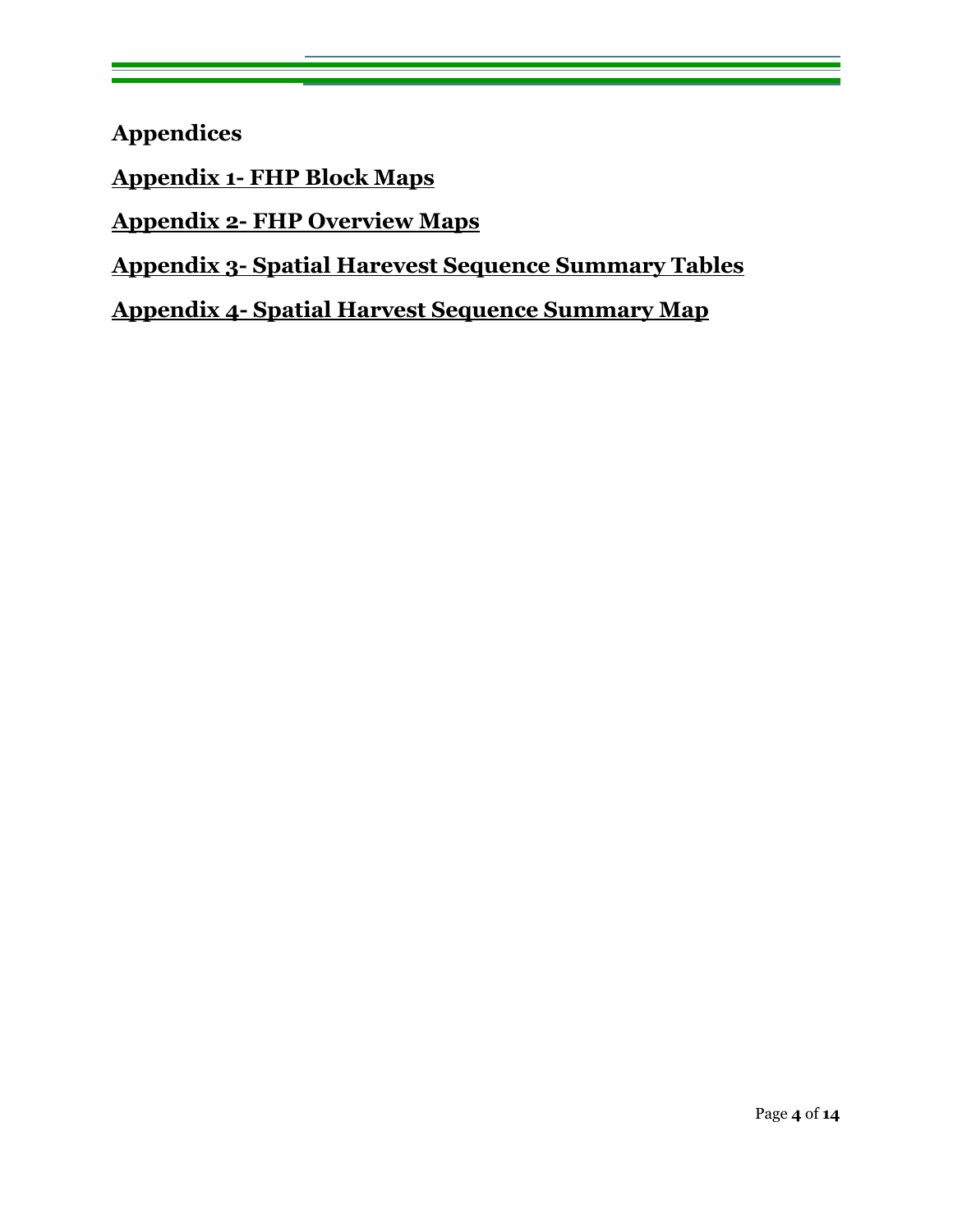**Appendices** 

**Appendix 1- FHP Block Maps** 

**Appendix 2- FHP Overview Maps** 

**Appendix 3- Spatial Harevest Sequence Summary Tables** 

**Appendix 4- Spatial Harvest Sequence Summary Map**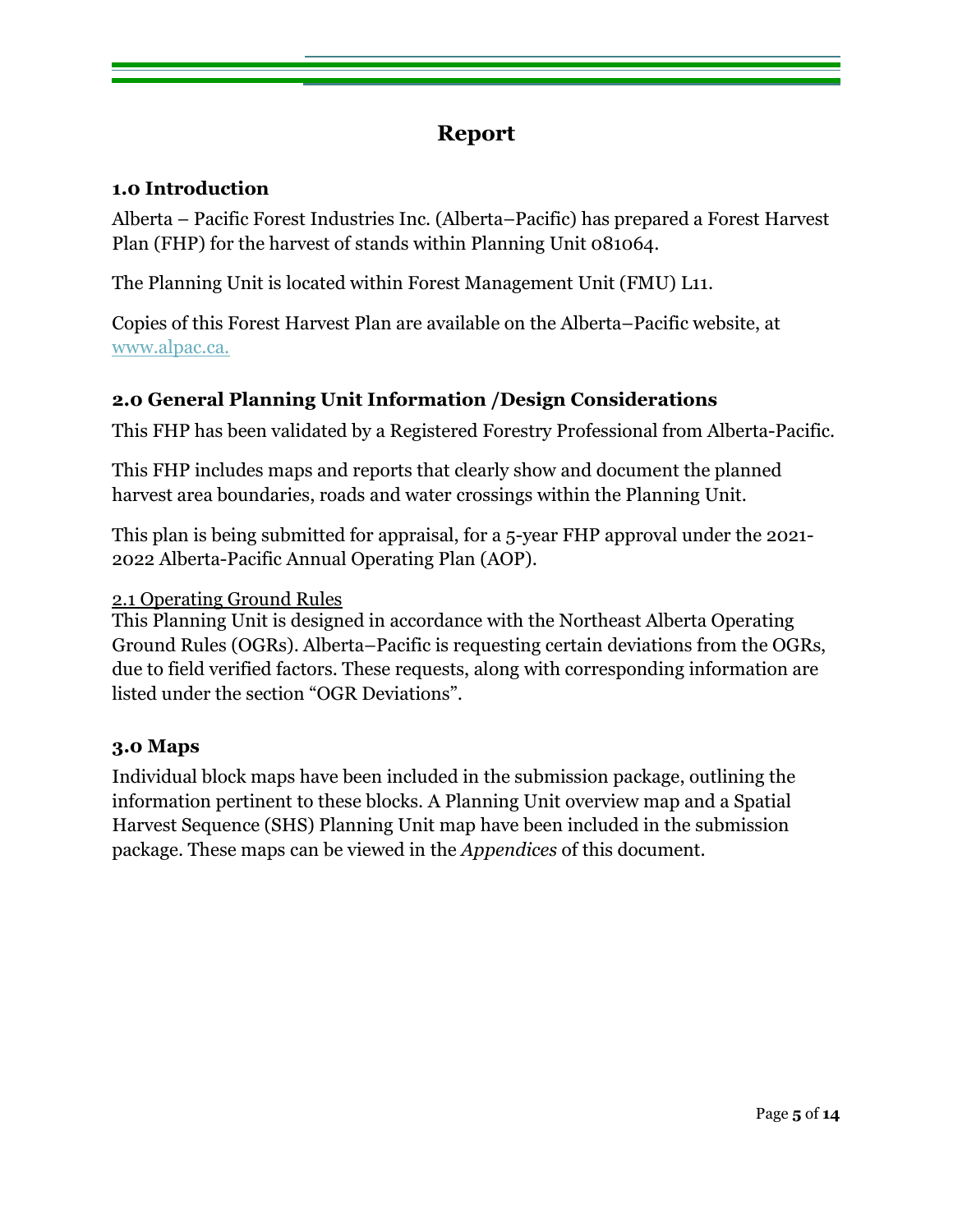# **Report**

### <span id="page-4-0"></span>**1.0 Introduction**

Alberta – Pacific Forest Industries Inc. (Alberta–Pacific) has prepared a Forest Harvest Plan (FHP) for the harvest of stands within Planning Unit 081064.

The Planning Unit is located within Forest Management Unit (FMU) L11.

Copies of this Forest Harvest Plan are available on the Alberta–Pacific website, at [www.alpac.ca.](http://www.alpac.ca/)

# <span id="page-4-1"></span>**2.0 General Planning Unit Information /Design Considerations**

This FHP has been validated by a Registered Forestry Professional from Alberta-Pacific.

This FHP includes maps and reports that clearly show and document the planned harvest area boundaries, roads and water crossings within the Planning Unit.

This plan is being submitted for appraisal, for a 5-year FHP approval under the 2021- 2022 Alberta-Pacific Annual Operating Plan (AOP).

#### <span id="page-4-2"></span>2.1 Operating Ground Rules

This Planning Unit is designed in accordance with the Northeast Alberta Operating Ground Rules (OGRs). Alberta–Pacific is requesting certain deviations from the OGRs, due to field verified factors. These requests, along with corresponding information are listed under the section "OGR Deviations".

#### <span id="page-4-3"></span>**3.0 Maps**

Individual block maps have been included in the submission package, outlining the information pertinent to these blocks. A Planning Unit overview map and a Spatial Harvest Sequence (SHS) Planning Unit map have been included in the submission package. These maps can be viewed in the *Appendices* of this document.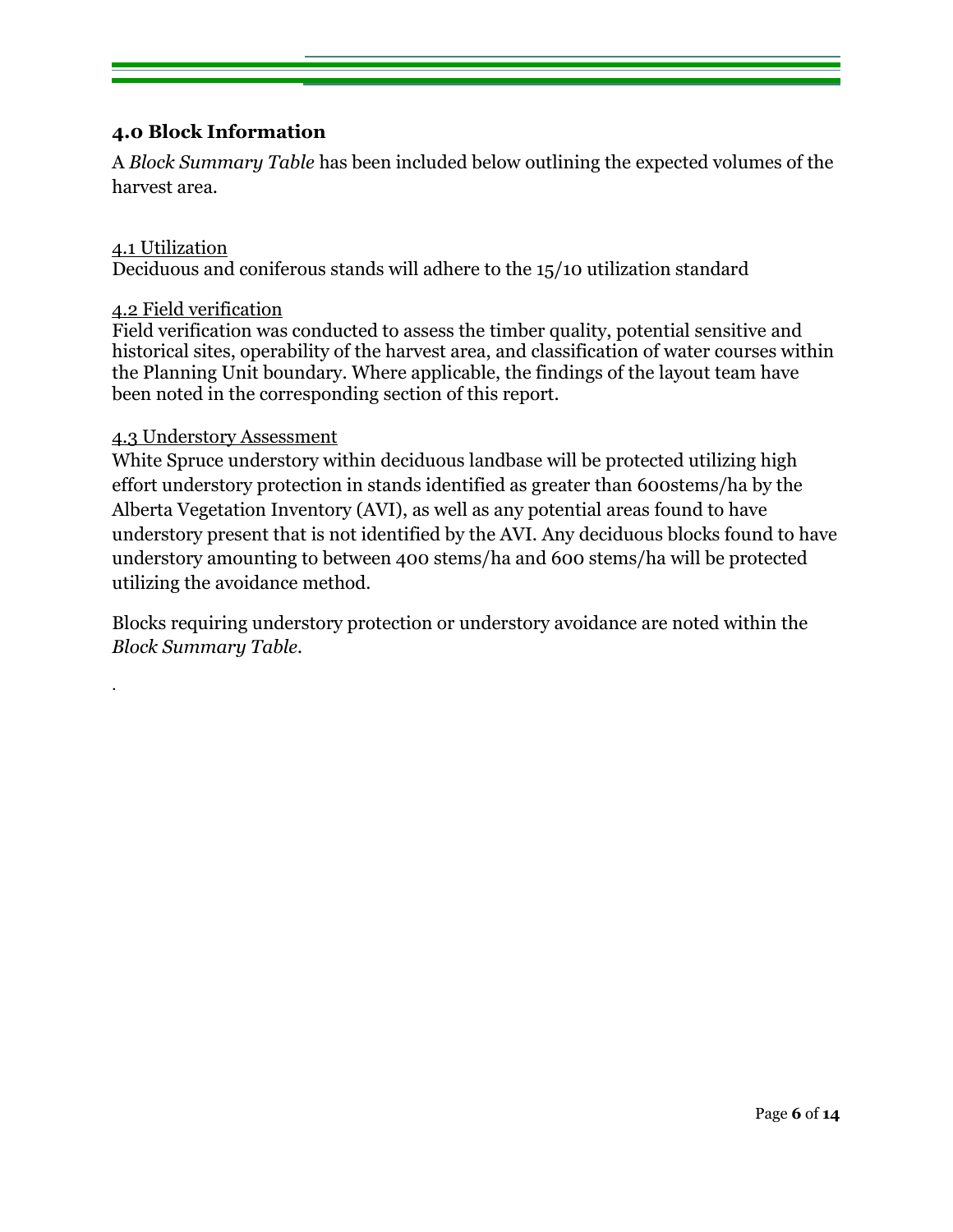### <span id="page-5-0"></span>**4.0 Block Information**

A *Block Summary Table* has been included below outlining the expected volumes of the harvest area.

#### <span id="page-5-1"></span>4.1 Utilization

.

Deciduous and coniferous stands will adhere to the 15/10 utilization standard

#### <span id="page-5-2"></span>4.2 Field verification

Field verification was conducted to assess the timber quality, potential sensitive and historical sites, operability of the harvest area, and classification of water courses within the Planning Unit boundary. Where applicable, the findings of the layout team have been noted in the corresponding section of this report.

#### <span id="page-5-3"></span>4.3 Understory Assessment

White Spruce understory within deciduous landbase will be protected utilizing high effort understory protection in stands identified as greater than 600stems/ha by the Alberta Vegetation Inventory (AVI), as well as any potential areas found to have understory present that is not identified by the AVI. Any deciduous blocks found to have understory amounting to between 400 stems/ha and 600 stems/ha will be protected utilizing the avoidance method.

Blocks requiring understory protection or understory avoidance are noted within the *Block Summary Table.*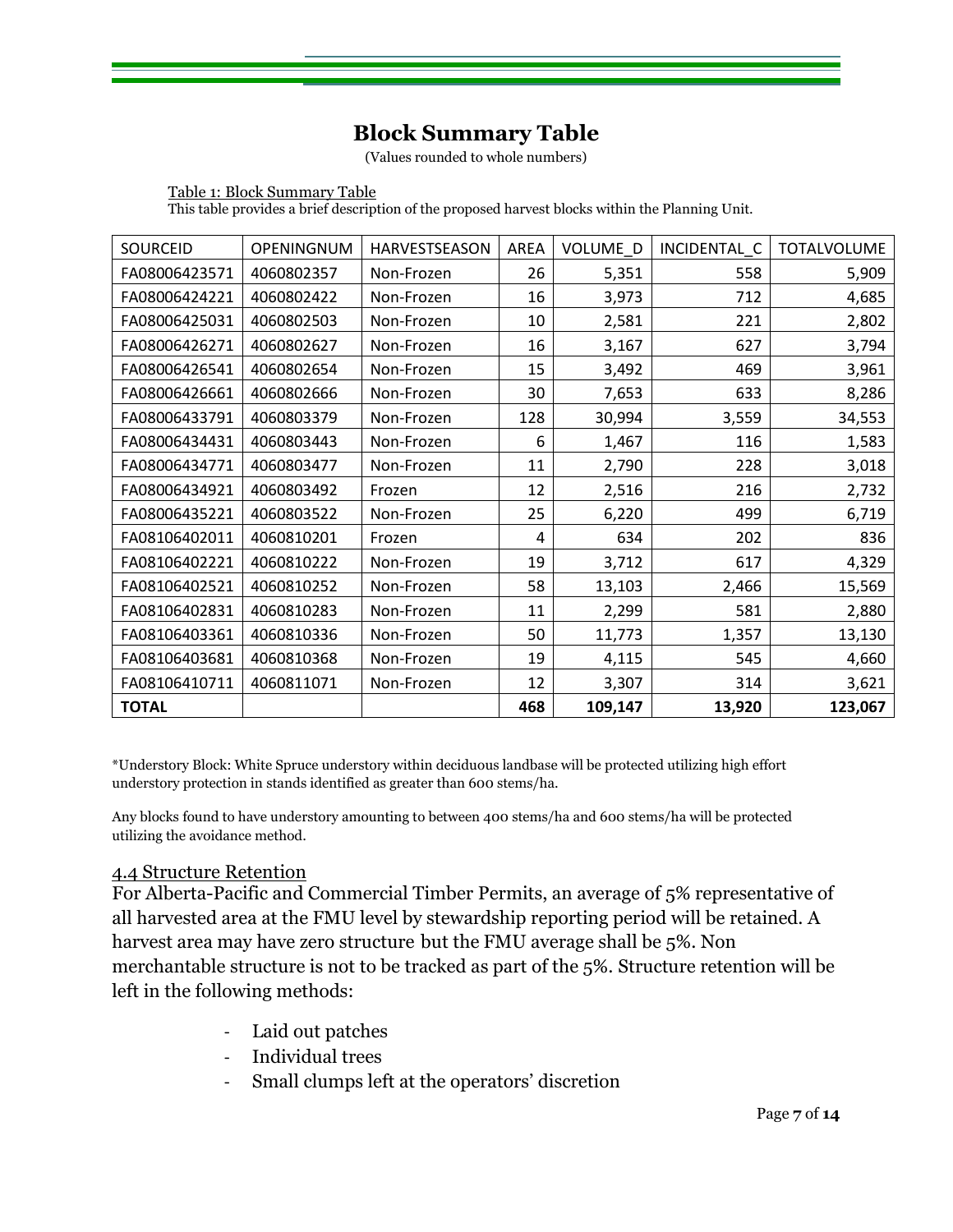# **Block Summary Table**

(Values rounded to whole numbers)

Table 1: Block Summary Table This table provides a brief description of the proposed harvest blocks within the Planning Unit.

| <b>SOURCEID</b> | OPENINGNUM | HARVESTSEASON | <b>AREA</b> | <b>VOLUME D</b> | INCIDENTAL C | <b>TOTALVOLUME</b> |
|-----------------|------------|---------------|-------------|-----------------|--------------|--------------------|
| FA08006423571   | 4060802357 | Non-Frozen    | 26          | 5,351           | 558          | 5,909              |
| FA08006424221   | 4060802422 | Non-Frozen    | 16          | 3,973           | 712          | 4,685              |
| FA08006425031   | 4060802503 | Non-Frozen    | 10          | 2,581           | 221          | 2,802              |
| FA08006426271   | 4060802627 | Non-Frozen    | 16          | 3,167           | 627          | 3,794              |
| FA08006426541   | 4060802654 | Non-Frozen    | 15          | 3,492           | 469          | 3,961              |
| FA08006426661   | 4060802666 | Non-Frozen    | 30          | 7,653           | 633          | 8,286              |
| FA08006433791   | 4060803379 | Non-Frozen    | 128         | 30,994          | 3,559        | 34,553             |
| FA08006434431   | 4060803443 | Non-Frozen    | 6           | 1,467           | 116          | 1,583              |
| FA08006434771   | 4060803477 | Non-Frozen    | 11          | 2,790           | 228          | 3,018              |
| FA08006434921   | 4060803492 | Frozen        | 12          | 2,516           | 216          | 2,732              |
| FA08006435221   | 4060803522 | Non-Frozen    | 25          | 6,220           | 499          | 6,719              |
| FA08106402011   | 4060810201 | Frozen        | 4           | 634             | 202          | 836                |
| FA08106402221   | 4060810222 | Non-Frozen    | 19          | 3,712           | 617          | 4,329              |
| FA08106402521   | 4060810252 | Non-Frozen    | 58          | 13,103          | 2,466        | 15,569             |
| FA08106402831   | 4060810283 | Non-Frozen    | 11          | 2,299           | 581          | 2,880              |
| FA08106403361   | 4060810336 | Non-Frozen    | 50          | 11,773          | 1,357        | 13,130             |
| FA08106403681   | 4060810368 | Non-Frozen    | 19          | 4,115           | 545          | 4,660              |
| FA08106410711   | 4060811071 | Non-Frozen    | 12          | 3,307           | 314          | 3,621              |
| <b>TOTAL</b>    |            |               | 468         | 109,147         | 13,920       | 123,067            |

\*Understory Block: White Spruce understory within deciduous landbase will be protected utilizing high effort understory protection in stands identified as greater than 600 stems/ha.

Any blocks found to have understory amounting to between 400 stems/ha and 600 stems/ha will be protected utilizing the avoidance method.

#### <span id="page-6-0"></span>4.4 Structure Retention

For Alberta-Pacific and Commercial Timber Permits, an average of 5% representative of all harvested area at the FMU level by stewardship reporting period will be retained. A harvest area may have zero structure but the FMU average shall be 5%. Non merchantable structure is not to be tracked as part of the 5%. Structure retention will be left in the following methods:

- Laid out patches
- Individual trees
- Small clumps left at the operators' discretion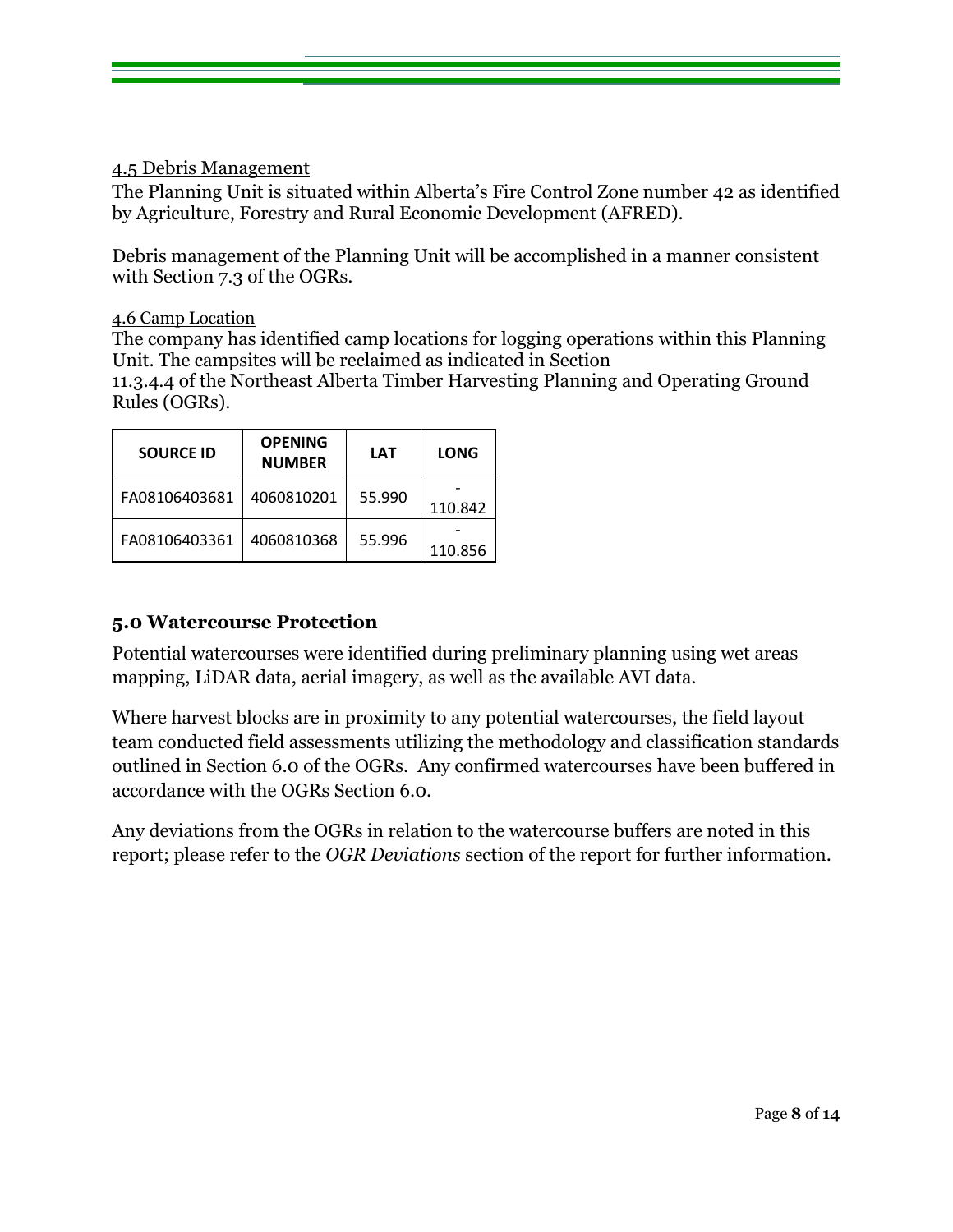#### <span id="page-7-0"></span>4.5 Debris Management

The Planning Unit is situated within Alberta's Fire Control Zone number 42 as identified by Agriculture, Forestry and Rural Economic Development (AFRED).

Debris management of the Planning Unit will be accomplished in a manner consistent with Section 7.3 of the OGRs.

#### <span id="page-7-1"></span>4.6 Camp Location

The company has identified camp locations for logging operations within this Planning Unit. The campsites will be reclaimed as indicated in Section 11.3.4.4 of the Northeast Alberta Timber Harvesting Planning and Operating Ground Rules (OGRs).

| <b>SOURCE ID</b> | <b>OPENING</b><br><b>NUMBER</b> | <b>LAT</b> | <b>LONG</b> |
|------------------|---------------------------------|------------|-------------|
| FA08106403681    | 4060810201                      | 55.990     | 110.842     |
| FA08106403361    | 4060810368                      | 55.996     | 110.856     |

#### <span id="page-7-2"></span>**5.0 Watercourse Protection**

Potential watercourses were identified during preliminary planning using wet areas mapping, LiDAR data, aerial imagery, as well as the available AVI data.

Where harvest blocks are in proximity to any potential watercourses, the field layout team conducted field assessments utilizing the methodology and classification standards outlined in Section 6.0 of the OGRs. Any confirmed watercourses have been buffered in accordance with the OGRs Section 6.0.

Any deviations from the OGRs in relation to the watercourse buffers are noted in this report; please refer to the *OGR Deviations* section of the report for further information.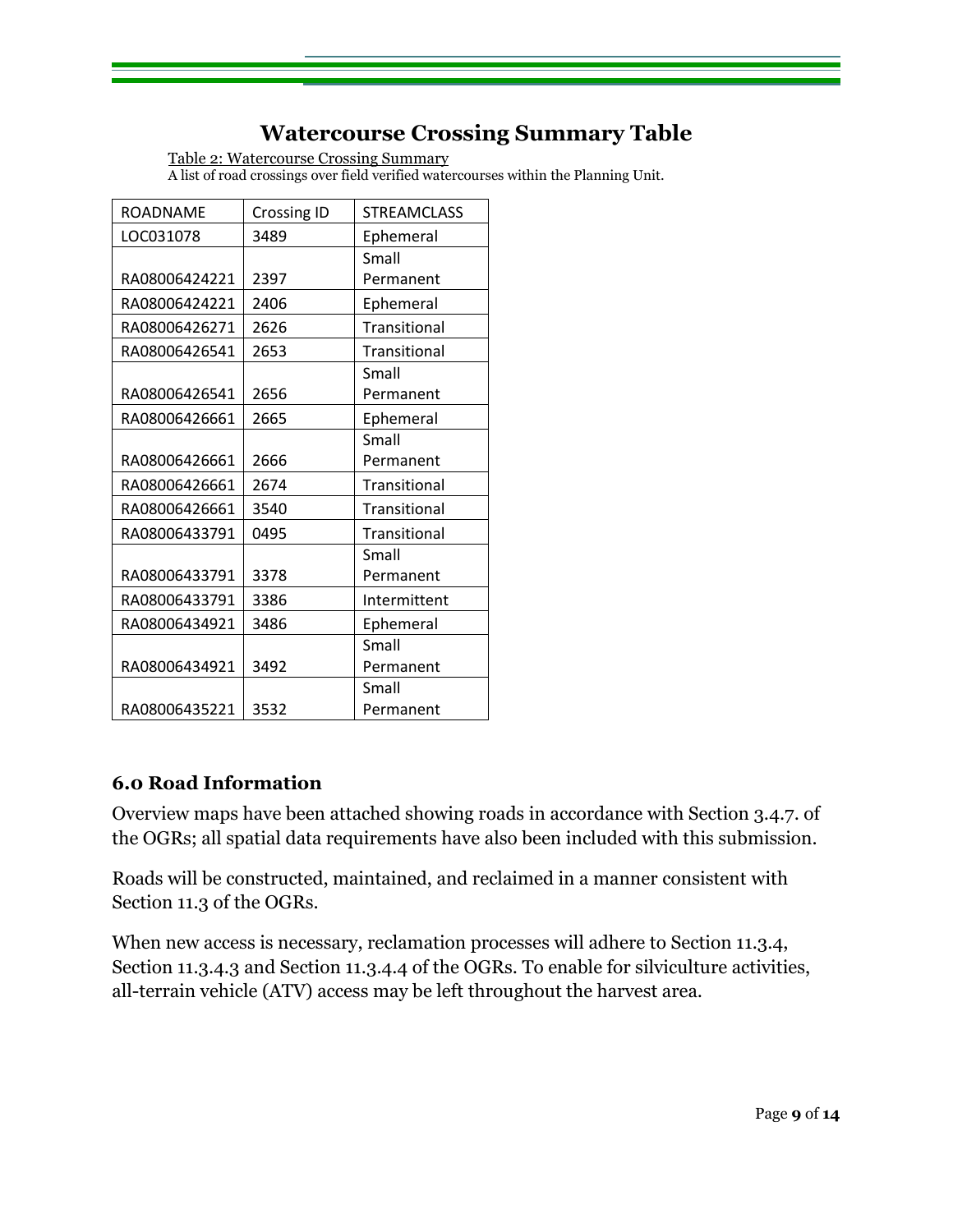# **Watercourse Crossing Summary Table**

Table 2: Watercourse Crossing Summary A list of road crossings over field verified watercourses within the Planning Unit.

<span id="page-8-0"></span>

| <b>ROADNAME</b> | <b>Crossing ID</b> | <b>STREAMCLASS</b> |
|-----------------|--------------------|--------------------|
| LOC031078       | 3489               | Ephemeral          |
|                 |                    | Small              |
| RA08006424221   | 2397               | Permanent          |
| RA08006424221   | 2406               | Ephemeral          |
| RA08006426271   | 2626               | Transitional       |
| RA08006426541   | 2653               | Transitional       |
|                 |                    | Small              |
| RA08006426541   | 2656               | Permanent          |
| RA08006426661   | 2665               | Ephemeral          |
|                 |                    | Small              |
| RA08006426661   | 2666               | Permanent          |
| RA08006426661   | 2674               | Transitional       |
| RA08006426661   | 3540               | Transitional       |
| RA08006433791   | 0495               | Transitional       |
|                 |                    | Small              |
| RA08006433791   | 3378               | Permanent          |
| RA08006433791   | 3386               | Intermittent       |
| RA08006434921   | 3486               | Ephemeral          |
|                 |                    | Small              |
| RA08006434921   | 3492               | Permanent          |
|                 |                    | Small              |
| RA08006435221   | 3532               | Permanent          |

## <span id="page-8-1"></span>**6.0 Road Information**

Overview maps have been attached showing roads in accordance with Section 3.4.7. of the OGRs; all spatial data requirements have also been included with this submission.

Roads will be constructed, maintained, and reclaimed in a manner consistent with Section 11.3 of the OGRs.

When new access is necessary, reclamation processes will adhere to Section 11.3.4, Section 11.3.4.3 and Section 11.3.4.4 of the OGRs. To enable for silviculture activities, all-terrain vehicle (ATV) access may be left throughout the harvest area.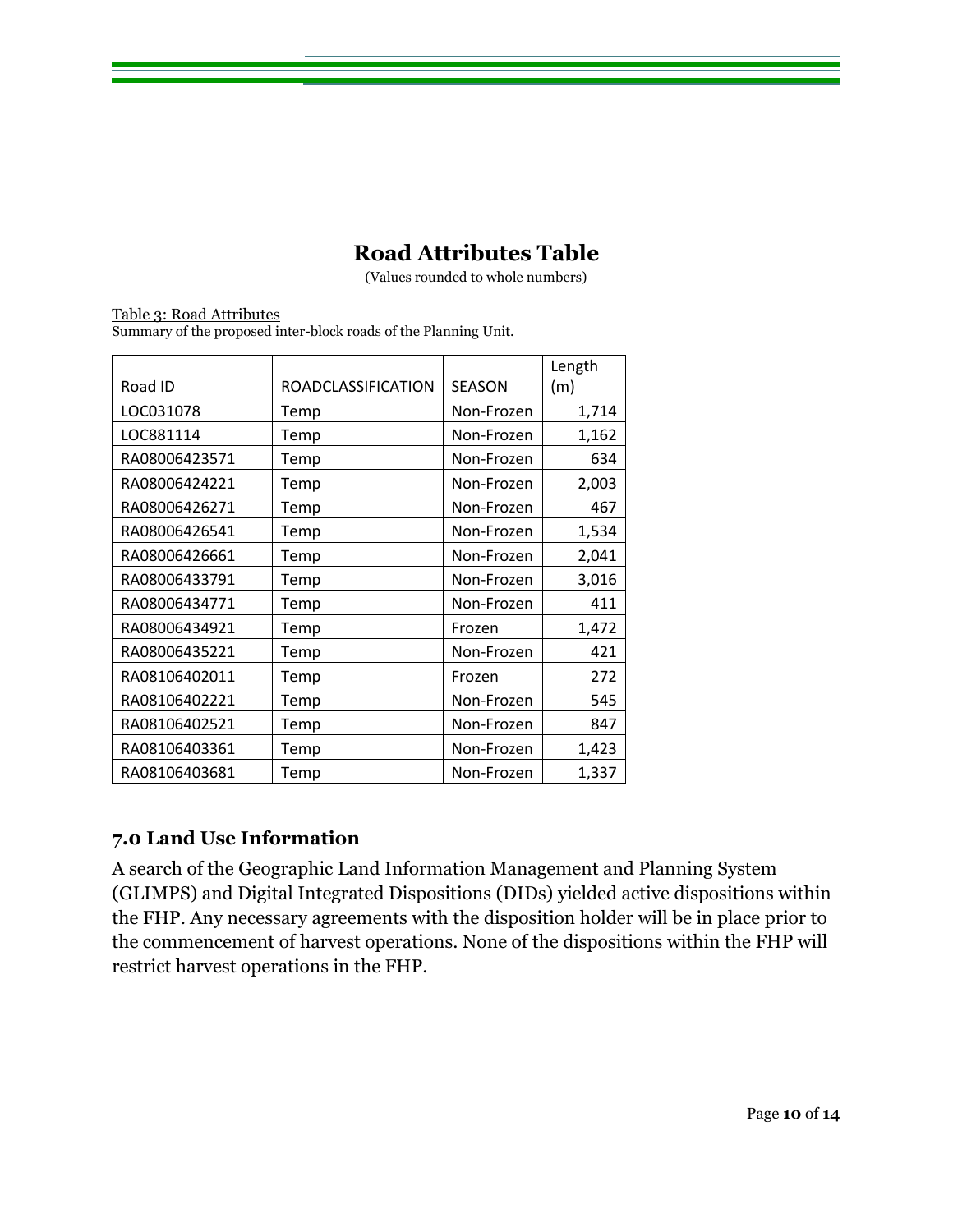# **Road Attributes Table**

(Values rounded to whole numbers)

<span id="page-9-0"></span>Table 3: Road Attributes Summary of the proposed inter-block roads of the Planning Unit.

|               |                           |               | Length |
|---------------|---------------------------|---------------|--------|
| Road ID       | <b>ROADCLASSIFICATION</b> | <b>SEASON</b> | (m)    |
| LOC031078     | Temp                      | Non-Frozen    | 1,714  |
| LOC881114     | Temp                      | Non-Frozen    | 1,162  |
| RA08006423571 | Temp                      | Non-Frozen    | 634    |
| RA08006424221 | Temp                      | Non-Frozen    | 2,003  |
| RA08006426271 | Temp                      | Non-Frozen    | 467    |
| RA08006426541 | Temp                      | Non-Frozen    | 1,534  |
| RA08006426661 | Temp                      | Non-Frozen    | 2,041  |
| RA08006433791 | Temp                      | Non-Frozen    | 3,016  |
| RA08006434771 | Temp                      | Non-Frozen    | 411    |
| RA08006434921 | Temp                      | Frozen        | 1,472  |
| RA08006435221 | Temp                      | Non-Frozen    | 421    |
| RA08106402011 | Temp                      | Frozen        | 272    |
| RA08106402221 | Temp                      | Non-Frozen    | 545    |
| RA08106402521 | Temp                      | Non-Frozen    | 847    |
| RA08106403361 | Temp                      | Non-Frozen    | 1,423  |
| RA08106403681 | Temp                      | Non-Frozen    | 1,337  |

## <span id="page-9-1"></span>**7.0 Land Use Information**

A search of the Geographic Land Information Management and Planning System (GLIMPS) and Digital Integrated Dispositions (DIDs) yielded active dispositions within the FHP. Any necessary agreements with the disposition holder will be in place prior to the commencement of harvest operations. None of the dispositions within the FHP will restrict harvest operations in the FHP.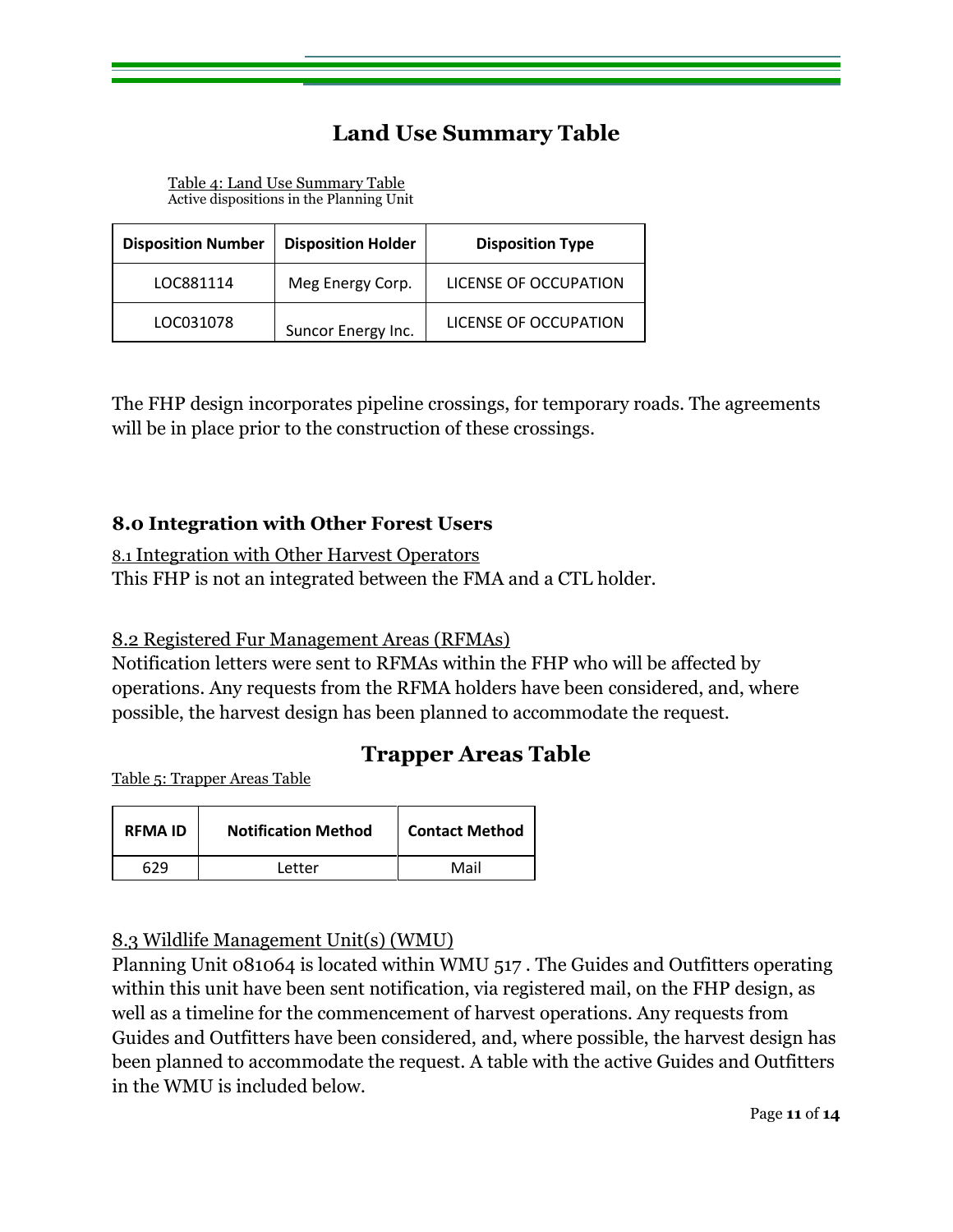# **Land Use Summary Table**

Table 4: Land Use Summary Table Active dispositions in the Planning Unit

<span id="page-10-0"></span>

| <b>Disposition Number</b> | <b>Disposition Holder</b> | <b>Disposition Type</b> |
|---------------------------|---------------------------|-------------------------|
| LOC881114                 | Meg Energy Corp.          | LICENSE OF OCCUPATION   |
| LOC031078                 | Suncor Energy Inc.        | LICENSE OF OCCUPATION   |

The FHP design incorporates pipeline crossings, for temporary roads. The agreements will be in place prior to the construction of these crossings.

#### <span id="page-10-1"></span>**8.0 Integration with Other Forest Users**

<span id="page-10-2"></span>8.1 Integration with Other Harvest Operators This FHP is not an integrated between the FMA and a CTL holder.

#### <span id="page-10-3"></span>8.2 Registered Fur Management Areas (RFMAs)

Notification letters were sent to RFMAs within the FHP who will be affected by operations. Any requests from the RFMA holders have been considered, and, where possible, the harvest design has been planned to accommodate the request.

# **Trapper Areas Table**

<span id="page-10-4"></span>Table 5: Trapper Areas Table

| <b>RFMA ID</b> | <b>Notification Method</b> | <b>Contact Method</b> |
|----------------|----------------------------|-----------------------|
| 629            | Letter                     | Mail                  |

#### <span id="page-10-5"></span>8.3 Wildlife Management Unit(s) (WMU)

Planning Unit 081064 is located within WMU 517 . The Guides and Outfitters operating within this unit have been sent notification, via registered mail, on the FHP design, as well as a timeline for the commencement of harvest operations. Any requests from Guides and Outfitters have been considered, and, where possible, the harvest design has been planned to accommodate the request. A table with the active Guides and Outfitters in the WMU is included below.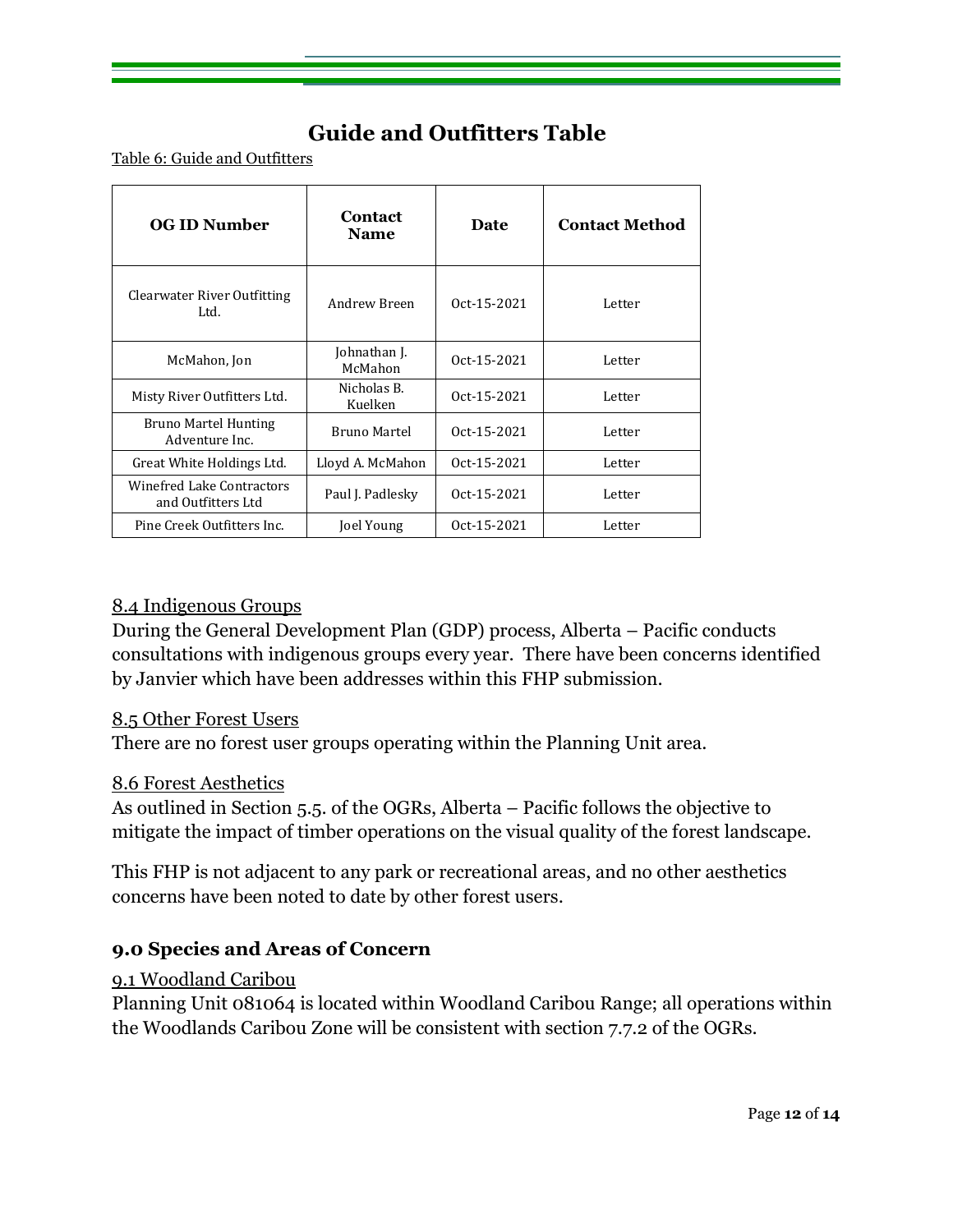# **Guide and Outfitters Table**

<span id="page-11-0"></span>Table 6: Guide and Outfitters

| <b>OG ID Number</b>                             | Contact<br><b>Name</b>  | Date        | <b>Contact Method</b> |
|-------------------------------------------------|-------------------------|-------------|-----------------------|
| Clearwater River Outfitting<br>Ltd.             | Andrew Breen            | Oct-15-2021 | Letter                |
| McMahon, Jon                                    | Johnathan J.<br>McMahon | Oct-15-2021 | Letter                |
| Misty River Outfitters Ltd.                     | Nicholas B.<br>Kuelken  | Oct-15-2021 | Letter                |
| Bruno Martel Hunting<br>Adventure Inc.          | Bruno Martel            | Oct-15-2021 | Letter                |
| Great White Holdings Ltd.                       | Lloyd A. McMahon        | Oct-15-2021 | Letter                |
| Winefred Lake Contractors<br>and Outfitters Ltd | Paul J. Padlesky        | Oct-15-2021 | Letter                |
| Pine Creek Outfitters Inc.                      | Joel Young              | Oct-15-2021 | Letter                |

#### <span id="page-11-1"></span>8.4 Indigenous Groups

During the General Development Plan (GDP) process, Alberta – Pacific conducts consultations with indigenous groups every year. There have been concerns identified by Janvier which have been addresses within this FHP submission.

#### <span id="page-11-2"></span>8.5 Other Forest Users

There are no forest user groups operating within the Planning Unit area.

#### <span id="page-11-3"></span>8.6 Forest Aesthetics

As outlined in Section 5.5. of the OGRs, Alberta – Pacific follows the objective to mitigate the impact of timber operations on the visual quality of the forest landscape.

This FHP is not adjacent to any park or recreational areas, and no other aesthetics concerns have been noted to date by other forest users.

#### <span id="page-11-4"></span>**9.0 Species and Areas of Concern**

#### <span id="page-11-5"></span>9.1 Woodland Caribou

Planning Unit 081064 is located within Woodland Caribou Range; all operations within the Woodlands Caribou Zone will be consistent with section 7.7.2 of the OGRs.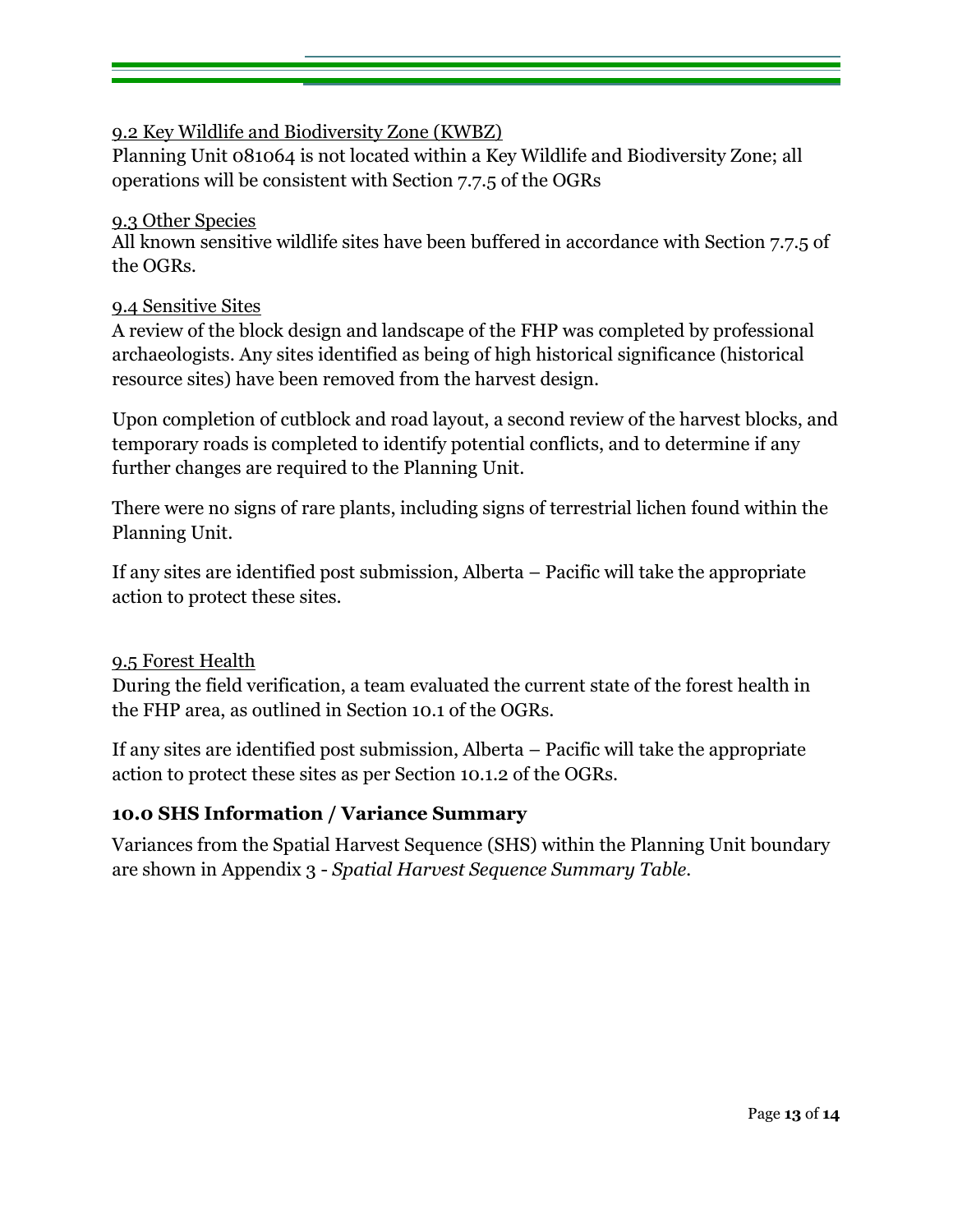## <span id="page-12-0"></span>9.2 Key Wildlife and Biodiversity Zone (KWBZ)

Planning Unit 081064 is not located within a Key Wildlife and Biodiversity Zone; all operations will be consistent with Section 7.7.5 of the OGRs

#### <span id="page-12-1"></span>9.3 Other Species

<span id="page-12-2"></span>All known sensitive wildlife sites have been buffered in accordance with Section 7.7.5 of the OGRs.

#### <span id="page-12-3"></span>9.4 Sensitive Sites

A review of the block design and landscape of the FHP was completed by professional archaeologists. Any sites identified as being of high historical significance (historical resource sites) have been removed from the harvest design.

Upon completion of cutblock and road layout, a second review of the harvest blocks, and temporary roads is completed to identify potential conflicts, and to determine if any further changes are required to the Planning Unit.

There were no signs of rare plants, including signs of terrestrial lichen found within the Planning Unit.

If any sites are identified post submission, Alberta – Pacific will take the appropriate action to protect these sites.

#### <span id="page-12-4"></span>9.5 Forest Health

During the field verification, a team evaluated the current state of the forest health in the FHP area, as outlined in Section 10.1 of the OGRs.

If any sites are identified post submission, Alberta – Pacific will take the appropriate action to protect these sites as per Section 10.1.2 of the OGRs.

#### <span id="page-12-5"></span>**10.0 SHS Information / Variance Summary**

<span id="page-12-6"></span>Variances from the Spatial Harvest Sequence (SHS) within the Planning Unit boundary are shown in Appendix 3 - *Spatial Harvest Sequence Summary Table.*